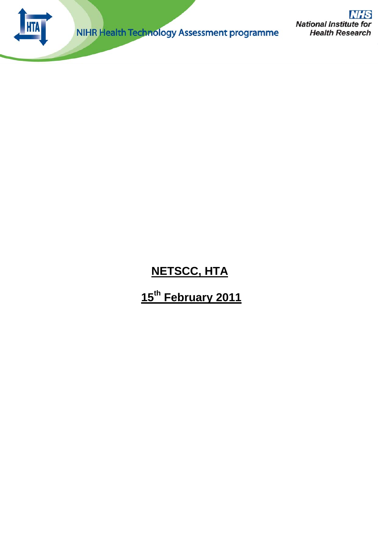

NIHR Health Technology Assessment programme

**NHS National Institute for Health Research** 

# **NETSCC, HTA**

# **15th February 2011**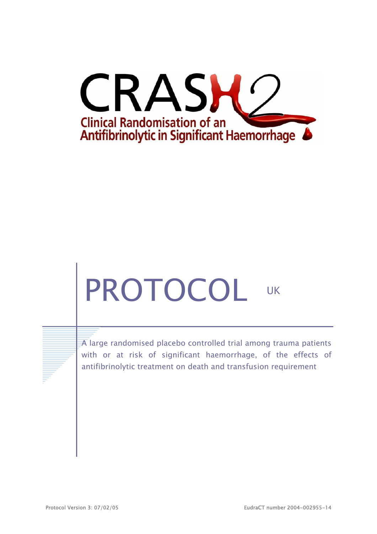

# PROTOCOL UK

 $\overline{A}$  large randomised placebo controlled trial among trauma patients with or at risk of significant haemorrhage, of the effects of antifibrinolytic treatment on death and transfusion requirement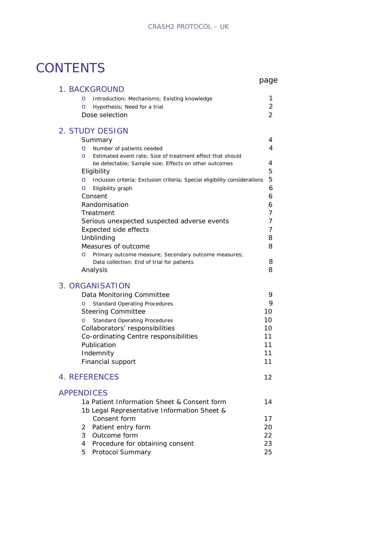# **CONTENTS**

|                                                                                            | page |
|--------------------------------------------------------------------------------------------|------|
| 1. BACKGROUND                                                                              |      |
| Introduction; Mechanisms; Existing knowledge<br>O                                          | 1    |
| Hypothesis; Need for a trial<br>O                                                          | 2    |
| Dose selection                                                                             | 2    |
| 2. STUDY DESIGN                                                                            |      |
| Summary                                                                                    | 4    |
| Number of patients needed<br>O                                                             | 4    |
| Estimated event rate; Size of treatment effect that should<br>O                            |      |
| be detectable; Sample size; Effects on other outcomes                                      | 4    |
| Eligibility                                                                                | 5    |
| Inclusion criteria; Exclusion criteria; Special eligibility considerations<br>$\circ$      | 5    |
| Eligibility graph<br>O                                                                     | 6    |
| Consent                                                                                    | 6    |
| Randomisation                                                                              | 6    |
| Treatment                                                                                  | 7    |
| Serious unexpected suspected adverse events                                                | 7    |
| Expected side effects                                                                      | 7    |
| Unblinding                                                                                 | 8    |
| Measures of outcome                                                                        | 8    |
| Primary outcome measure; Secondary outcome measures;<br>O                                  |      |
| Data collection; End of trial for patients                                                 | 8    |
| Analysis                                                                                   | 8    |
| 3. ORGANISATION                                                                            |      |
| Data Monitoring Committee                                                                  | 9    |
| <b>Standard Operating Procedures</b><br>$\circ$                                            | 9    |
| <b>Steering Committee</b>                                                                  | 10   |
| <b>Standard Operating Procedures</b><br>O                                                  | 10   |
| Collaborators' responsibilities                                                            | 10   |
| Co-ordinating Centre responsibilities                                                      | 11   |
| Publication                                                                                | 11   |
| Indemnity                                                                                  | 11   |
| Financial support                                                                          | 11   |
| <b>4. REFERENCES</b>                                                                       | 12   |
|                                                                                            |      |
| <b>APPENDICES</b>                                                                          |      |
| 1a Patient Information Sheet & Consent form<br>1b Legal Representative Information Sheet & | 14   |
| Consent form                                                                               | 17   |
| Patient entry form<br>2                                                                    | 20   |
| 3<br>Outcome form                                                                          | 22   |
| Procedure for obtaining consent<br>4                                                       | 23   |
| Protocol Summary<br>5.                                                                     | 25   |
|                                                                                            |      |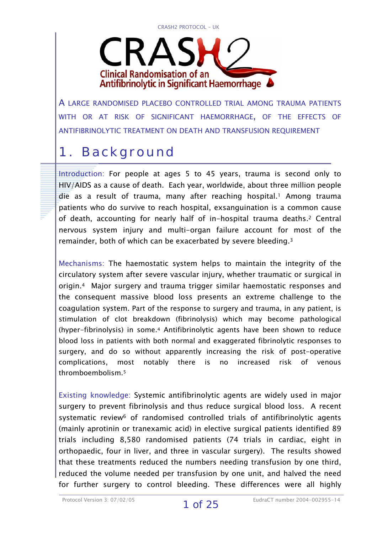CRASH2 PROTOCOL - UK



A LARGE RANDOMISED PLACEBO CONTROLLED TRIAL AMONG TRAUMA PATIENTS WITH OR AT RISK OF SIGNIFICANT HAEMORRHAGE, OF THE EFFECTS OF ANTIFIBRINOLYTIC TREATMENT ON DEATH AND TRANSFUSION REQUIREMENT

# 1. Background

Introduction: For people at ages 5 to 45 years, trauma is second only to HIV/AIDS as a cause of death. Each year, worldwide, about three million people die as a result of trauma, many after reaching hospital.<sup>1</sup> Among trauma patients who do survive to reach hospital, exsanguination is a common cause of death, accounting for nearly half of in-hospital trauma deaths.2 Central nervous system injury and multi-organ failure account for most of the remainder, both of which can be exacerbated by severe bleeding.3

Mechanisms: The haemostatic system helps to maintain the integrity of the circulatory system after severe vascular injury, whether traumatic or surgical in origin.4 Major surgery and trauma trigger similar haemostatic responses and the consequent massive blood loss presents an extreme challenge to the coagulation system. Part of the response to surgery and trauma, in any patient, is stimulation of clot breakdown (fibrinolysis) which may become pathological (hyper-fibrinolysis) in some.4 Antifibrinolytic agents have been shown to reduce blood loss in patients with both normal and exaggerated fibrinolytic responses to surgery, and do so without apparently increasing the risk of post-operative complications, most notably there is no increased risk of venous thromboembolism.5

Existing knowledge: Systemic antifibrinolytic agents are widely used in major surgery to prevent fibrinolysis and thus reduce surgical blood loss. A recent systematic review<sup>6</sup> of randomised controlled trials of antifibrinolytic agents (mainly aprotinin or tranexamic acid) in elective surgical patients identified 89 trials including 8,580 randomised patients (74 trials in cardiac, eight in orthopaedic, four in liver, and three in vascular surgery). The results showed that these treatments reduced the numbers needing transfusion by one third, reduced the volume needed per transfusion by one unit, and halved the need for further surgery to control bleeding. These differences were all highly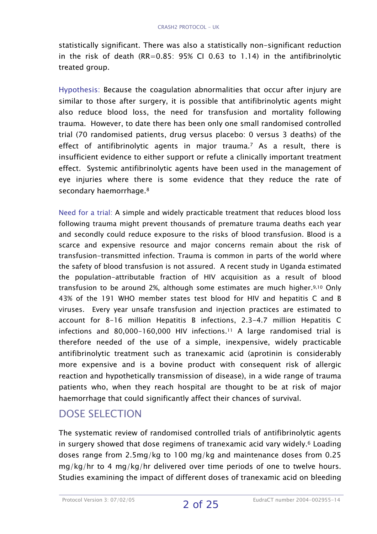statistically significant. There was also a statistically non-significant reduction in the risk of death (RR=0.85: 95% CI 0.63 to 1.14) in the antifibrinolytic treated group.

Hypothesis: Because the coagulation abnormalities that occur after injury are similar to those after surgery, it is possible that antifibrinolytic agents might also reduce blood loss, the need for transfusion and mortality following trauma. However, to date there has been only one small randomised controlled trial (70 randomised patients, drug versus placebo: 0 versus 3 deaths) of the effect of antifibrinolytic agents in major trauma.7 As a result, there is insufficient evidence to either support or refute a clinically important treatment effect. Systemic antifibrinolytic agents have been used in the management of eye injuries where there is some evidence that they reduce the rate of secondary haemorrhage.<sup>8</sup>

Need for a trial: A simple and widely practicable treatment that reduces blood loss following trauma might prevent thousands of premature trauma deaths each year and secondly could reduce exposure to the risks of blood transfusion. Blood is a scarce and expensive resource and major concerns remain about the risk of transfusion-transmitted infection. Trauma is common in parts of the world where the safety of blood transfusion is not assured. A recent study in Uganda estimated the population-attributable fraction of HIV acquisition as a result of blood transfusion to be around 2%, although some estimates are much higher.9,10 Only 43% of the 191 WHO member states test blood for HIV and hepatitis C and B viruses. Every year unsafe transfusion and injection practices are estimated to account for 8-16 million Hepatitis B infections, 2.3-4.7 million Hepatitis C infections and 80,000-160,000 HIV infections.11 A large randomised trial is therefore needed of the use of a simple, inexpensive, widely practicable antifibrinolytic treatment such as tranexamic acid (aprotinin is considerably more expensive and is a bovine product with consequent risk of allergic reaction and hypothetically transmission of disease), in a wide range of trauma patients who, when they reach hospital are thought to be at risk of major haemorrhage that could significantly affect their chances of survival.

### DOSE SELECTION

The systematic review of randomised controlled trials of antifibrinolytic agents in surgery showed that dose regimens of tranexamic acid vary widely.6 Loading doses range from 2.5mg/kg to 100 mg/kg and maintenance doses from 0.25 mg/kg/hr to 4 mg/kg/hr delivered over time periods of one to twelve hours. Studies examining the impact of different doses of tranexamic acid on bleeding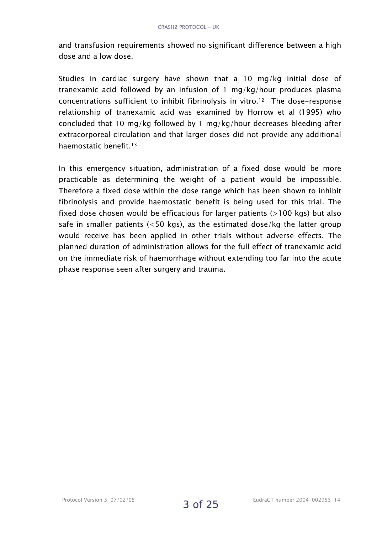and transfusion requirements showed no significant difference between a high dose and a low dose.

Studies in cardiac surgery have shown that a 10 mg/kg initial dose of tranexamic acid followed by an infusion of 1 mg/kg/hour produces plasma concentrations sufficient to inhibit fibrinolysis in vitro.12 The dose-response relationship of tranexamic acid was examined by Horrow et al (1995) who concluded that 10 mg/kg followed by 1 mg/kg/hour decreases bleeding after extracorporeal circulation and that larger doses did not provide any additional haemostatic benefit.13

In this emergency situation, administration of a fixed dose would be more practicable as determining the weight of a patient would be impossible. Therefore a fixed dose within the dose range which has been shown to inhibit fibrinolysis and provide haemostatic benefit is being used for this trial. The fixed dose chosen would be efficacious for larger patients  $(>100$  kgs) but also safe in smaller patients ( $<$ 50 kgs), as the estimated dose/kg the latter group would receive has been applied in other trials without adverse effects. The planned duration of administration allows for the full effect of tranexamic acid on the immediate risk of haemorrhage without extending too far into the acute phase response seen after surgery and trauma.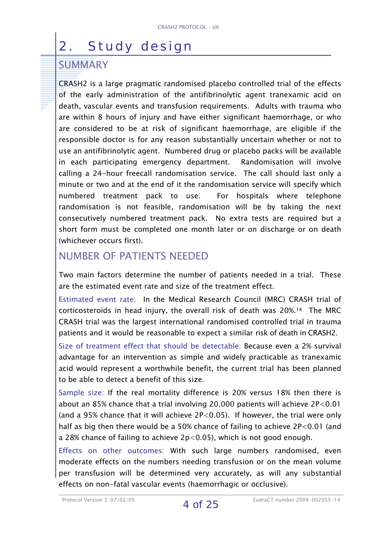# 2. Study design

### **SUMMARY**

CRASH2 is a large pragmatic randomised placebo controlled trial of the effects of the early administration of the antifibrinolytic agent tranexamic acid on death, vascular events and transfusion requirements. Adults with trauma who are within 8 hours of injury and have either significant haemorrhage, or who are considered to be at risk of significant haemorrhage, are eligible if the responsible doctor is for any reason substantially uncertain whether or not to use an antifibrinolytic agent. Numbered drug or placebo packs will be available in each participating emergency department. Randomisation will involve calling a 24-hour freecall randomisation service. The call should last only a minute or two and at the end of it the randomisation service will specify which numbered treatment pack to use. For hospitals where telephone randomisation is not feasible, randomisation will be by taking the next consecutively numbered treatment pack. No extra tests are required but a short form must be completed one month later or on discharge or on death (whichever occurs first).

### NUMBER OF PATIENTS NEEDED

Two main factors determine the number of patients needed in a trial. These are the estimated event rate and size of the treatment effect.

Estimated event rate: In the Medical Research Council (MRC) CRASH trial of corticosteroids in head injury, the overall risk of death was 20%.14 The MRC CRASH trial was the largest international randomised controlled trial in trauma patients and it would be reasonable to expect a similar risk of death in CRASH2.

Size of treatment effect that should be detectable: Because even a 2% survival advantage for an intervention as simple and widely practicable as tranexamic acid would represent a worthwhile benefit, the current trial has been planned to be able to detect a benefit of this size.

Sample size: If the real mortality difference is 20% versus 18% then there is about an 85% chance that a trial involving 20,000 patients will achieve 2P<0.01 (and a 95% chance that it will achieve 2P<0.05). If however, the trial were only half as big then there would be a 50% chance of failing to achieve 2P<0.01 (and a 28% chance of failing to achieve 2p<0.05), which is not good enough.

Effects on other outcomes: With such large numbers randomised, even moderate effects on the numbers needing transfusion or on the mean volume per transfusion will be determined very accurately, as will any substantial effects on non-fatal vascular events (haemorrhagic or occlusive).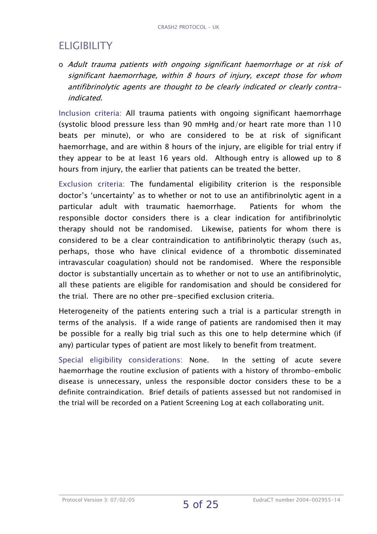### ELIGIBILITY

o Adult trauma patients with ongoing significant haemorrhage or at risk of significant haemorrhage, within 8 hours of injury, except those for whom antifibrinolytic agents are thought to be clearly indicated or clearly contraindicated.

Inclusion criteria: All trauma patients with ongoing significant haemorrhage (systolic blood pressure less than 90 mmHg and/or heart rate more than 110 beats per minute), or who are considered to be at risk of significant haemorrhage, and are within 8 hours of the injury, are eligible for trial entry if they appear to be at least 16 years old. Although entry is allowed up to 8 hours from injury, the earlier that patients can be treated the better.

Exclusion criteria: The fundamental eligibility criterion is the responsible doctor's 'uncertainty' as to whether or not to use an antifibrinolytic agent in a particular adult with traumatic haemorrhage. Patients for whom the responsible doctor considers there is a clear indication for antifibrinolytic therapy should not be randomised. Likewise, patients for whom there is considered to be a clear contraindication to antifibrinolytic therapy (such as, perhaps, those who have clinical evidence of a thrombotic disseminated intravascular coagulation) should not be randomised. Where the responsible doctor is substantially uncertain as to whether or not to use an antifibrinolytic, all these patients are eligible for randomisation and should be considered for the trial. There are no other pre-specified exclusion criteria.

Heterogeneity of the patients entering such a trial is a particular strength in terms of the analysis. If a wide range of patients are randomised then it may be possible for a really big trial such as this one to help determine which (if any) particular types of patient are most likely to benefit from treatment.

Special eligibility considerations: None. In the setting of acute severe haemorrhage the routine exclusion of patients with a history of thrombo-embolic disease is unnecessary, unless the responsible doctor considers these to be a definite contraindication. Brief details of patients assessed but not randomised in the trial will be recorded on a Patient Screening Log at each collaborating unit.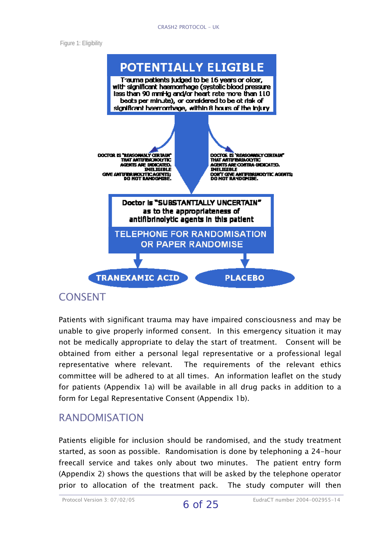#### CRASH2 PROTOCOL - UK

Figure 1: Eligibility



#### **CONSENT**

Patients with significant trauma may have impaired consciousness and may be unable to give properly informed consent. In this emergency situation it may not be medically appropriate to delay the start of treatment. Consent will be obtained from either a personal legal representative or a professional legal representative where relevant. The requirements of the relevant ethics committee will be adhered to at all times. An information leaflet on the study for patients (Appendix 1a) will be available in all drug packs in addition to a form for Legal Representative Consent (Appendix 1b).

#### RANDOMISATION

Patients eligible for inclusion should be randomised, and the study treatment started, as soon as possible. Randomisation is done by telephoning a 24-hour freecall service and takes only about two minutes. The patient entry form (Appendix 2) shows the questions that will be asked by the telephone operator prior to allocation of the treatment pack. The study computer will then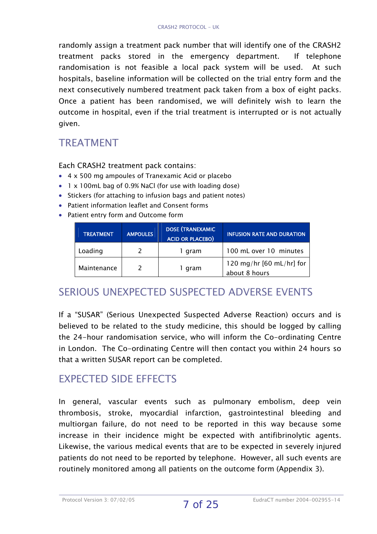randomly assign a treatment pack number that will identify one of the CRASH2 treatment packs stored in the emergency department. If telephone randomisation is not feasible a local pack system will be used. At such hospitals, baseline information will be collected on the trial entry form and the next consecutively numbered treatment pack taken from a box of eight packs. Once a patient has been randomised, we will definitely wish to learn the outcome in hospital, even if the trial treatment is interrupted or is not actually given.

### TREATMENT

Each CRASH2 treatment pack contains:

- 4 x 500 mg ampoules of Tranexamic Acid or placebo
- 1 x 100mL bag of 0.9% NaCl (for use with loading dose)
- Stickers (for attaching to infusion bags and patient notes)
- Patient information leaflet and Consent forms
- Patient entry form and Outcome form

| <b>TREATMENT</b> | <b>AMPOULES</b> | <b>DOSE (TRANEXAMIC</b><br><b>ACID OR PLACEBO)</b> | INFUSION RATE AND DURATION                          |
|------------------|-----------------|----------------------------------------------------|-----------------------------------------------------|
| Loading          |                 | 1 gram                                             | 100 mL over 10 minutes                              |
| Maintenance      |                 | 1 gram                                             | 120 mg/hr $[60 \text{ mL/hr}]$ for<br>about 8 hours |

### SERIOUS UNEXPECTED SUSPECTED ADVERSE EVENTS

If a "SUSAR" (Serious Unexpected Suspected Adverse Reaction) occurs and is believed to be related to the study medicine, this should be logged by calling the 24-hour randomisation service, who will inform the Co-ordinating Centre in London. The Co-ordinating Centre will then contact you within 24 hours so that a written SUSAR report can be completed.

### EXPECTED SIDE EFFECTS

In general, vascular events such as pulmonary embolism, deep vein thrombosis, stroke, myocardial infarction, gastrointestinal bleeding and multiorgan failure, do not need to be reported in this way because some increase in their incidence might be expected with antifibrinolytic agents. Likewise, the various medical events that are to be expected in severely injured patients do not need to be reported by telephone. However, all such events are routinely monitored among all patients on the outcome form (Appendix 3).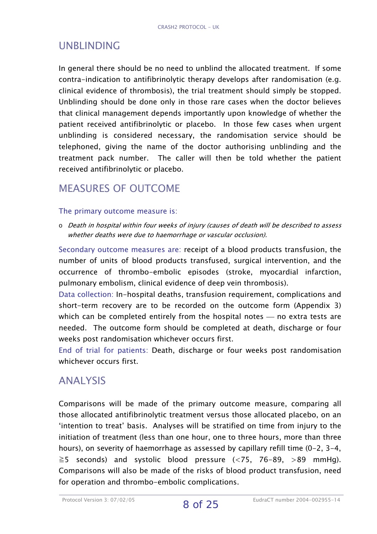# UNBLINDING

In general there should be no need to unblind the allocated treatment. If some contra-indication to antifibrinolytic therapy develops after randomisation (e.g. clinical evidence of thrombosis), the trial treatment should simply be stopped. Unblinding should be done only in those rare cases when the doctor believes that clinical management depends importantly upon knowledge of whether the patient received antifibrinolytic or placebo. In those few cases when urgent unblinding is considered necessary, the randomisation service should be telephoned, giving the name of the doctor authorising unblinding and the treatment pack number. The caller will then be told whether the patient received antifibrinolytic or placebo.

### MEASURES OF OUTCOME

#### The primary outcome measure is:

o Death in hospital within four weeks of injury (causes of death will be described to assess whether deaths were due to haemorrhage or vascular occlusion).

Secondary outcome measures are: receipt of a blood products transfusion, the number of units of blood products transfused, surgical intervention, and the occurrence of thrombo-embolic episodes (stroke, myocardial infarction, pulmonary embolism, clinical evidence of deep vein thrombosis).

Data collection: In-hospital deaths, transfusion requirement, complications and short-term recovery are to be recorded on the outcome form (Appendix 3) which can be completed entirely from the hospital notes  $-$  no extra tests are needed. The outcome form should be completed at death, discharge or four weeks post randomisation whichever occurs first.

End of trial for patients: Death, discharge or four weeks post randomisation whichever occurs first.

#### ANALYSIS

Comparisons will be made of the primary outcome measure, comparing all those allocated antifibrinolytic treatment versus those allocated placebo, on an 'intention to treat' basis. Analyses will be stratified on time from injury to the initiation of treatment (less than one hour, one to three hours, more than three hours), on severity of haemorrhage as assessed by capillary refill time (0-2, 3-4,  $\ge$ 5 seconds) and systolic blood pressure (<75, 76-89, >89 mmHg). Comparisons will also be made of the risks of blood product transfusion, need for operation and thrombo-embolic complications.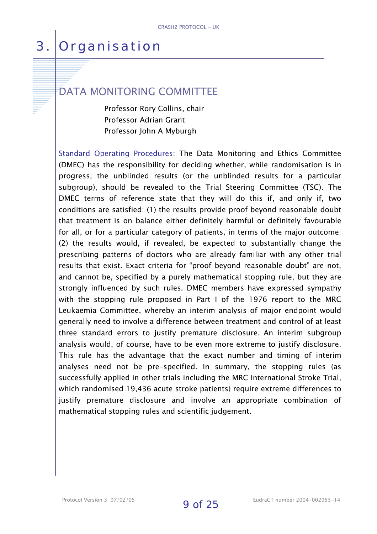# 3. Organisation

# DATA MONITORING COMMITTEE

 Professor Rory Collins, chair Professor Adrian Grant Professor John A Myburgh

Standard Operating Procedures: The Data Monitoring and Ethics Committee (DMEC) has the responsibility for deciding whether, while randomisation is in progress, the unblinded results (or the unblinded results for a particular subgroup), should be revealed to the Trial Steering Committee (TSC). The DMEC terms of reference state that they will do this if, and only if, two conditions are satisfied: (1) the results provide proof beyond reasonable doubt that treatment is on balance either definitely harmful or definitely favourable for all, or for a particular category of patients, in terms of the major outcome; (2) the results would, if revealed, be expected to substantially change the prescribing patterns of doctors who are already familiar with any other trial results that exist. Exact criteria for "proof beyond reasonable doubt" are not, and cannot be, specified by a purely mathematical stopping rule, but they are strongly influenced by such rules. DMEC members have expressed sympathy with the stopping rule proposed in Part I of the 1976 report to the MRC Leukaemia Committee, whereby an interim analysis of major endpoint would generally need to involve a difference between treatment and control of at least three standard errors to justify premature disclosure. An interim subgroup analysis would, of course, have to be even more extreme to justify disclosure. This rule has the advantage that the exact number and timing of interim analyses need not be pre-specified. In summary, the stopping rules (as successfully applied in other trials including the MRC International Stroke Trial, which randomised 19,436 acute stroke patients) require extreme differences to justify premature disclosure and involve an appropriate combination of mathematical stopping rules and scientific judgement.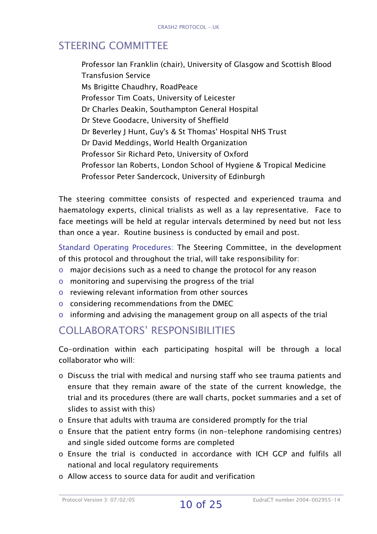# STEERING COMMITTEE

Professor Ian Franklin (chair), University of Glasgow and Scottish Blood Transfusion Service Ms Brigitte Chaudhry, RoadPeace Professor Tim Coats, University of Leicester Dr Charles Deakin, Southampton General Hospital Dr Steve Goodacre, University of Sheffield Dr Beverley J Hunt, Guy's & St Thomas' Hospital NHS Trust Dr David Meddings, World Health Organization Professor Sir Richard Peto, University of Oxford Professor Ian Roberts, London School of Hygiene & Tropical Medicine Professor Peter Sandercock, University of Edinburgh

The steering committee consists of respected and experienced trauma and haematology experts, clinical trialists as well as a lay representative. Face to face meetings will be held at regular intervals determined by need but not less than once a year. Routine business is conducted by email and post.

Standard Operating Procedures: The Steering Committee, in the development of this protocol and throughout the trial, will take responsibility for:

- o major decisions such as a need to change the protocol for any reason
- o monitoring and supervising the progress of the trial
- o reviewing relevant information from other sources
- o considering recommendations from the DMEC
- o informing and advising the management group on all aspects of the trial

### COLLABORATORS' RESPONSIBILITIES

Co-ordination within each participating hospital will be through a local collaborator who will:

- o Discuss the trial with medical and nursing staff who see trauma patients and ensure that they remain aware of the state of the current knowledge, the trial and its procedures (there are wall charts, pocket summaries and a set of slides to assist with this)
- o Ensure that adults with trauma are considered promptly for the trial
- o Ensure that the patient entry forms (in non-telephone randomising centres) and single sided outcome forms are completed
- o Ensure the trial is conducted in accordance with ICH GCP and fulfils all national and local regulatory requirements
- o Allow access to source data for audit and verification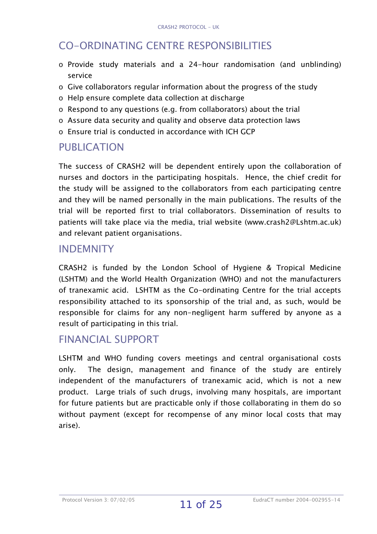# CO-ORDINATING CENTRE RESPONSIBILITIES

- o Provide study materials and a 24-hour randomisation (and unblinding) service
- o Give collaborators regular information about the progress of the study
- o Help ensure complete data collection at discharge
- o Respond to any questions (e.g. from collaborators) about the trial
- o Assure data security and quality and observe data protection laws
- o Ensure trial is conducted in accordance with ICH GCP

### PUBLICATION

The success of CRASH2 will be dependent entirely upon the collaboration of nurses and doctors in the participating hospitals. Hence, the chief credit for the study will be assigned to the collaborators from each participating centre and they will be named personally in the main publications. The results of the trial will be reported first to trial collaborators. Dissemination of results to patients will take place via the media, trial website (www.crash2@Lshtm.ac.uk) and relevant patient organisations.

#### INDEMNITY

CRASH2 is funded by the London School of Hygiene & Tropical Medicine (LSHTM) and the World Health Organization (WHO) and not the manufacturers of tranexamic acid. LSHTM as the Co-ordinating Centre for the trial accepts responsibility attached to its sponsorship of the trial and, as such, would be responsible for claims for any non-negligent harm suffered by anyone as a result of participating in this trial.

### FINANCIAL SUPPORT

LSHTM and WHO funding covers meetings and central organisational costs only. The design, management and finance of the study are entirely independent of the manufacturers of tranexamic acid, which is not a new product. Large trials of such drugs, involving many hospitals, are important for future patients but are practicable only if those collaborating in them do so without payment (except for recompense of any minor local costs that may arise).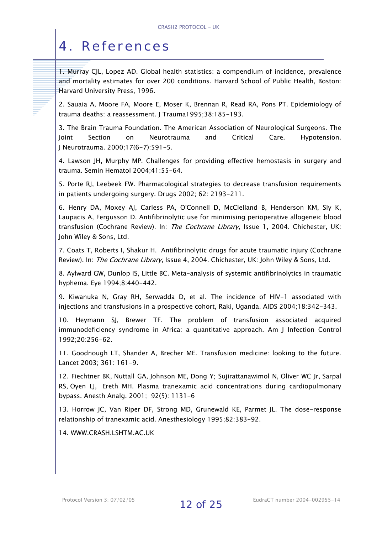# 4. References

1. Murray CJL, Lopez AD. Global health statistics: a compendium of incidence, prevalence and mortality estimates for over 200 conditions. Harvard School of Public Health, Boston: Harvard University Press, 1996.

2. Sauaia A, Moore FA, Moore E, Moser K, Brennan R, Read RA, Pons PT. Epidemiology of trauma deaths: a reassessment. J Trauma1995;38:185-193.

3. The Brain Trauma Foundation. The American Association of Neurological Surgeons. The Joint Section on Neurotrauma and Critical Care. Hypotension. J Neurotrauma. 2000;17(6-7):591-5.

4. Lawson JH, Murphy MP. Challenges for providing effective hemostasis in surgery and trauma. Semin Hematol 2004;41:55-64.

5. Porte RJ, Leebeek FW. Pharmacological strategies to decrease transfusion requirements in patients undergoing surgery. Drugs 2002; 62: 2193-211.

6. Henry DA, Moxey AJ, Carless PA, O'Connell D, McClelland B, Henderson KM, Sly K, Laupacis A, Fergusson D. Antifibrinolytic use for minimising perioperative allogeneic blood transfusion (Cochrane Review). In: The Cochrane Library, Issue 1, 2004. Chichester, UK: John Wiley & Sons, Ltd.

7. Coats T, Roberts I, Shakur H. Antifibrinolytic drugs for acute traumatic injury (Cochrane Review). In: The Cochrane Library, Issue 4, 2004. Chichester, UK: John Wiley & Sons, Ltd.

8. Aylward GW, Dunlop IS, Little BC. Meta-analysis of systemic antifibrinolytics in traumatic hyphema. Eye 1994;8:440-442.

9. Kiwanuka N, Gray RH, Serwadda D, et al. The incidence of HIV-1 associated with injections and transfusions in a prospective cohort, Raki, Uganda. AIDS 2004;18:342-343.

10. Heymann SJ, Brewer TF. The problem of transfusion associated acquired immunodeficiency syndrome in Africa: a quantitative approach. Am J Infection Control 1992;20:256-62.

11. Goodnough LT, Shander A, Brecher ME. Transfusion medicine: looking to the future. Lancet 2003; 361: 161-9.

12. [Fiechtner BK,](http://web5s.silverplatter.com/webspirs/doLS.ws?ss=Fiechtner-B-K+in+AU) [Nuttall GA,](http://web5s.silverplatter.com/webspirs/doLS.ws?ss=Nuttall-G-A+in+AU) [Johnson ME](http://web5s.silverplatter.com/webspirs/doLS.ws?ss=Johnson-M-E+in+AU), [Dong Y](http://web5s.silverplatter.com/webspirs/doLS.ws?ss=Dong-Y+in+AU); [Sujirattanawimol N,](http://web5s.silverplatter.com/webspirs/doLS.ws?ss=Sujirattanawimol-N+in+AU) [Oliver WC](http://web5s.silverplatter.com/webspirs/doLS.ws?ss=Oliver-W-C+in+AU) [Jr,](http://web5s.silverplatter.com/webspirs/doLS.ws?ss=Jr+in+AU) [Sarpal](http://web5s.silverplatter.com/webspirs/doLS.ws?ss=Sarpal-R-S+in+AU)  [RS](http://web5s.silverplatter.com/webspirs/doLS.ws?ss=Sarpal-R-S+in+AU), [Oyen LJ,](http://web5s.silverplatter.com/webspirs/doLS.ws?ss=Oyen-L-J+in+AU) [Ereth MH. Plasma tranexamic acid concentrations during cardiopulmonary](http://web5s.silverplatter.com/webspirs/doLS.ws?ss=Ereth-M-H+in+AU)  H [bypass.](http://web5s.silverplatter.com/webspirs/doLS.ws?ss=Ereth-M-H+in+AU)  Anesth Analg[. 2001; 92\(5\): 1131-6](http://web5s.silverplatter.com/webspirs/doLS.ws?ss=Anesth-Analg+in+SO) 

13. Horrow JC, Van Riper DF, Strong MD, Grunewald KE, Parmet JL. The dose-response relationship of tranexamic acid. Anesthesiology 1995;82:383-92.

14. WWW.CRASH.LSHTM.AC.UK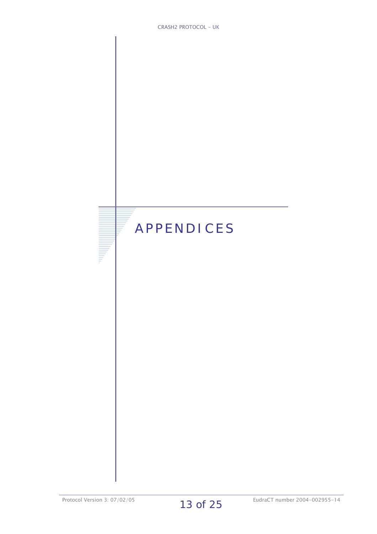# APPENDICES

**THE PERSON**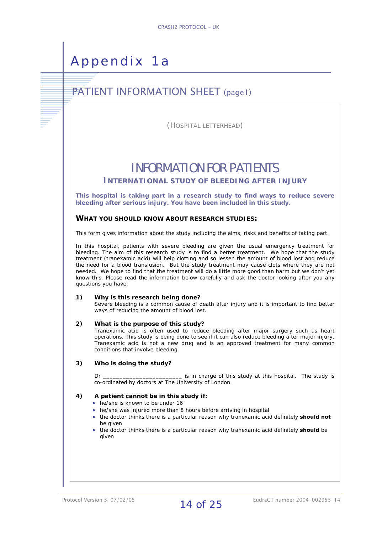# Appendix 1a

# PATIENT INFORMATION SHEET (page1)

(HOSPITAL LETTERHEAD)

# INFORMATION FOR PATIENTS

**INTERNATIONAL STUDY OF BLEEDING AFTER INJURY**

**This hospital is taking part in a research study to find ways to reduce severe bleeding after serious injury. You have been included in this study.** 

#### **WHAT YOU SHOULD KNOW ABOUT RESEARCH STUDIES:**

This form gives information about the study including the aims, risks and benefits of taking part.

In this hospital, patients with severe bleeding are given the usual emergency treatment for bleeding. The aim of this research study is to find a better treatment. We hope that the study treatment (tranexamic acid) will help clotting and so lessen the amount of blood lost and reduce the need for a blood transfusion. But the study treatment may cause clots where they are not needed. We hope to find that the treatment will do a little more good than harm but we don't yet know this. Please read the information below carefully and ask the doctor looking after you any questions you have.

#### **1) Why is this research being done?**

Severe bleeding is a common cause of death after injury and it is important to find better ways of reducing the amount of blood lost.

#### **2) What is the purpose of this study?**

Tranexamic acid is often used to reduce bleeding after major surgery such as heart operations. This study is being done to see if it can also reduce bleeding after major injury. Tranexamic acid is not a new drug and is an approved treatment for many common conditions that involve bleeding.

#### **3) Who is doing the study?**

Dr **Example 20** is in charge of this study at this hospital. The study is co-ordinated by doctors at The University of London.

#### **4) A patient cannot be in this study if:**

- he/she is known to be under 16
- he/she was injured more than 8 hours before arriving in hospital
- the doctor thinks there is a particular reason why tranexamic acid definitely **should not**  be given
- the doctor thinks there is a particular reason why tranexamic acid definitely **should** be given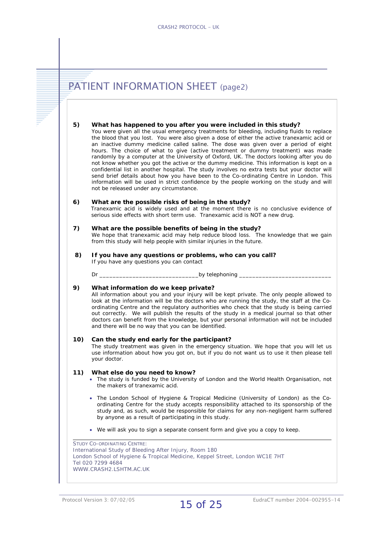| What has happened to you after you were included in this study?<br>You were given all the usual emergency treatments for bleeding, including fluids to replace<br>the blood that you lost. You were also given a dose of either the active tranexamic acid or<br>an inactive dummy medicine called saline. The dose was given over a period of eight<br>hours. The choice of what to give (active treatment or dummy treatment) was made<br>randomly by a computer at the University of Oxford, UK. The doctors looking after you do<br>not know whether you got the active or the dummy medicine. This information is kept on a<br>confidential list in another hospital. The study involves no extra tests but your doctor will<br>send brief details about how you have been to the Co-ordinating Centre in London. This<br>information will be used in strict confidence by the people working on the study and will<br>not be released under any circumstance.<br>What are the possible risks of being in the study?<br>serious side effects with short term use. Tranexamic acid is NOT a new drug.<br>What are the possible benefits of being in the study?<br>from this study will help people with similar injuries in the future.<br>If you have any questions or problems, who can you call?<br>If you have any questions you can contact<br>Dr i version of the set of the set of the set of the set of the set of the set of the set of the set of the set of the set of the set of the set of the set of the set of the set of the set of the set of the set of the set<br>_________by telephoning _<br>What information do we keep private? |
|------------------------------------------------------------------------------------------------------------------------------------------------------------------------------------------------------------------------------------------------------------------------------------------------------------------------------------------------------------------------------------------------------------------------------------------------------------------------------------------------------------------------------------------------------------------------------------------------------------------------------------------------------------------------------------------------------------------------------------------------------------------------------------------------------------------------------------------------------------------------------------------------------------------------------------------------------------------------------------------------------------------------------------------------------------------------------------------------------------------------------------------------------------------------------------------------------------------------------------------------------------------------------------------------------------------------------------------------------------------------------------------------------------------------------------------------------------------------------------------------------------------------------------------------------------------------------------------------------------------------------------------------------------|
| Tranexamic acid is widely used and at the moment there is no conclusive evidence of<br>We hope that tranexamic acid may help reduce blood loss. The knowledge that we gain                                                                                                                                                                                                                                                                                                                                                                                                                                                                                                                                                                                                                                                                                                                                                                                                                                                                                                                                                                                                                                                                                                                                                                                                                                                                                                                                                                                                                                                                                 |
|                                                                                                                                                                                                                                                                                                                                                                                                                                                                                                                                                                                                                                                                                                                                                                                                                                                                                                                                                                                                                                                                                                                                                                                                                                                                                                                                                                                                                                                                                                                                                                                                                                                            |
|                                                                                                                                                                                                                                                                                                                                                                                                                                                                                                                                                                                                                                                                                                                                                                                                                                                                                                                                                                                                                                                                                                                                                                                                                                                                                                                                                                                                                                                                                                                                                                                                                                                            |
|                                                                                                                                                                                                                                                                                                                                                                                                                                                                                                                                                                                                                                                                                                                                                                                                                                                                                                                                                                                                                                                                                                                                                                                                                                                                                                                                                                                                                                                                                                                                                                                                                                                            |
|                                                                                                                                                                                                                                                                                                                                                                                                                                                                                                                                                                                                                                                                                                                                                                                                                                                                                                                                                                                                                                                                                                                                                                                                                                                                                                                                                                                                                                                                                                                                                                                                                                                            |
| All information about you and your injury will be kept private. The only people allowed to<br>look at the information will be the doctors who are running the study, the staff at the Co-<br>ordinating Centre and the regulatory authorities who check that the study is being carried<br>out correctly. We will publish the results of the study in a medical journal so that other<br>doctors can benefit from the knowledge, but your personal information will not be included<br>and there will be no way that you can be identified.                                                                                                                                                                                                                                                                                                                                                                                                                                                                                                                                                                                                                                                                                                                                                                                                                                                                                                                                                                                                                                                                                                                |
| Can the study end early for the participant?<br>The study treatment was given in the emergency situation. We hope that you will let us<br>use information about how you got on, but if you do not want us to use it then please tell<br>your doctor.                                                                                                                                                                                                                                                                                                                                                                                                                                                                                                                                                                                                                                                                                                                                                                                                                                                                                                                                                                                                                                                                                                                                                                                                                                                                                                                                                                                                       |
| What else do you need to know?<br>• The study is funded by the University of London and the World Health Organisation, not<br>the makers of tranexamic acid.                                                                                                                                                                                                                                                                                                                                                                                                                                                                                                                                                                                                                                                                                                                                                                                                                                                                                                                                                                                                                                                                                                                                                                                                                                                                                                                                                                                                                                                                                               |
| • The London School of Hygiene & Tropical Medicine (University of London) as the Co-<br>ordinating Centre for the study accepts responsibility attached to its sponsorship of the<br>study and, as such, would be responsible for claims for any non-negligent harm suffered<br>by anyone as a result of participating in this study.                                                                                                                                                                                                                                                                                                                                                                                                                                                                                                                                                                                                                                                                                                                                                                                                                                                                                                                                                                                                                                                                                                                                                                                                                                                                                                                      |
| • We will ask you to sign a separate consent form and give you a copy to keep.                                                                                                                                                                                                                                                                                                                                                                                                                                                                                                                                                                                                                                                                                                                                                                                                                                                                                                                                                                                                                                                                                                                                                                                                                                                                                                                                                                                                                                                                                                                                                                             |
| <b>STUDY CO-ORDINATING CENTRE:</b><br>International Study of Bleeding After Injury, Room 180                                                                                                                                                                                                                                                                                                                                                                                                                                                                                                                                                                                                                                                                                                                                                                                                                                                                                                                                                                                                                                                                                                                                                                                                                                                                                                                                                                                                                                                                                                                                                               |

I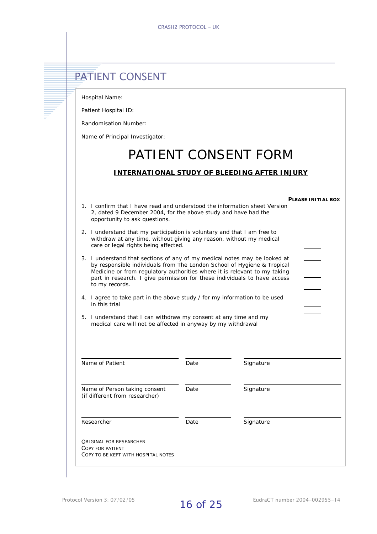# **PATIENT CONSENT**

Hospital Name:

Patient Hospital ID:

Randomisation Number:

Name of Principal Investigator:

# PATIENT CONSENT FORM

#### **INTERNATIONAL STUDY OF BLEEDING AFTER INJURY**

|                                                                                                                                                                                                                                                                                                                                 |      |           | <b>PLEASE INITIAL BOX</b> |
|---------------------------------------------------------------------------------------------------------------------------------------------------------------------------------------------------------------------------------------------------------------------------------------------------------------------------------|------|-----------|---------------------------|
| 1. I confirm that I have read and understood the information sheet Version<br>2, dated 9 December 2004, for the above study and have had the<br>opportunity to ask questions.                                                                                                                                                   |      |           |                           |
| 2. I understand that my participation is voluntary and that I am free to<br>withdraw at any time, without giving any reason, without my medical<br>care or legal rights being affected.                                                                                                                                         |      |           |                           |
| 3. I understand that sections of any of my medical notes may be looked at<br>by responsible individuals from The London School of Hygiene & Tropical<br>Medicine or from regulatory authorities where it is relevant to my taking<br>part in research. I give permission for these individuals to have access<br>to my records. |      |           |                           |
| 4. I agree to take part in the above study / for my information to be used<br>in this trial                                                                                                                                                                                                                                     |      |           |                           |
|                                                                                                                                                                                                                                                                                                                                 |      |           |                           |
| 5. I understand that I can withdraw my consent at any time and my<br>medical care will not be affected in anyway by my withdrawal                                                                                                                                                                                               |      |           |                           |
| Name of Patient                                                                                                                                                                                                                                                                                                                 | Date | Signature |                           |
| Name of Person taking consent<br>(if different from researcher)                                                                                                                                                                                                                                                                 | Date | Signature |                           |
| Researcher                                                                                                                                                                                                                                                                                                                      | Date | Signature |                           |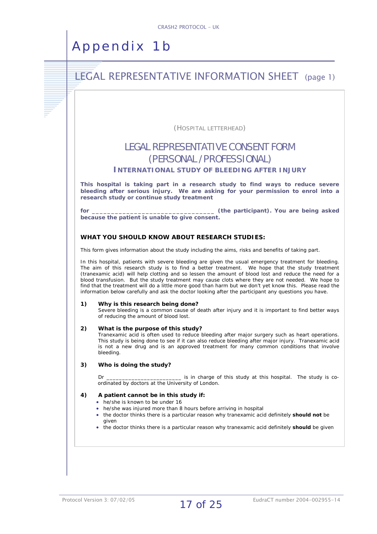# Appendix 1b

### **LEGAL REPRESENTATIVE INFORMATION SHEET** (page 1)

(HOSPITAL LETTERHEAD)

#### LEGAL REPRESENTATIVE CONSENT FORM (PERSONAL /PROFESSIONAL)

#### **INTERNATIONAL STUDY OF BLEEDING AFTER INJURY**

**This hospital is taking part in a research study to find ways to reduce severe bleeding after serious injury. We are asking for your permission to enrol into a research study or continue study treatment** 

**for \_\_\_\_\_\_\_\_\_\_\_\_\_\_\_\_\_\_\_\_\_\_\_\_\_\_\_\_\_\_\_\_ (the participant). You are being asked because the patient is unable to give consent.** 

#### **WHAT YOU SHOULD KNOW ABOUT RESEARCH STUDIES:**

This form gives information about the study including the aims, risks and benefits of taking part.

In this hospital, patients with severe bleeding are given the usual emergency treatment for bleeding. The aim of this research study is to find a better treatment. We hope that the study treatment (tranexamic acid) will help clotting and so lessen the amount of blood lost and reduce the need for a blood transfusion. But the study treatment may cause clots where they are not needed. We hope to find that the treatment will do a little more good than harm but we don't yet know this. Please read the information below carefully and ask the doctor looking after the participant any questions you have.

#### **hy is this research being done? 1) W**

Severe bleeding is a common cause of death after injury and it is important to find better ways of reducing the amount of blood lost.

#### **2) What is the purpose of this study?**

Tranexamic acid is often used to reduce bleeding after major surgery such as heart operations. This study is being done to see if it can also reduce bleeding after major injury. Tranexamic acid is not a new drug and is an approved treatment for many common conditions that involve bleeding.

#### **3) Who is doing the study?**

Dr \_\_\_\_\_\_\_\_\_\_\_\_\_\_\_\_\_\_\_\_\_\_\_\_ is in charge of this study at this hospital. The study is coordinated by doctors at the University of London.

#### **4) A patient cannot be in this study if:**

- he/she is known to be under 16
- he/she was injured more than 8 hours before arriving in hospital
- the doctor thinks there is a particular reason why tranexamic acid definitely **should not** be given
- the doctor thinks there is a particular reason why tranexamic acid definitely **should** be given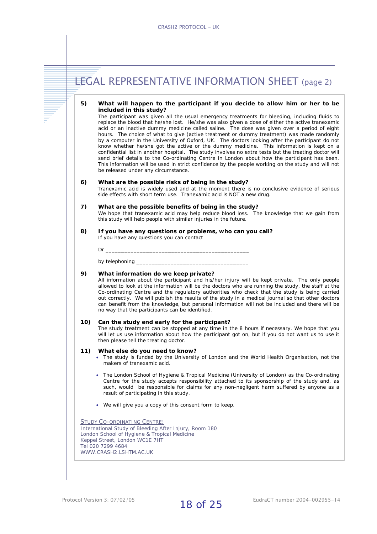|     | <b>LEGAL REPRESENTATIVE INFORMATION SHEET (page 2)</b>                                                                                                                                                                                                                                                                                                                                                                                                                                                                                                                                                                                                                                                                                                                                                                                                                                                                                                                                                                                                       |
|-----|--------------------------------------------------------------------------------------------------------------------------------------------------------------------------------------------------------------------------------------------------------------------------------------------------------------------------------------------------------------------------------------------------------------------------------------------------------------------------------------------------------------------------------------------------------------------------------------------------------------------------------------------------------------------------------------------------------------------------------------------------------------------------------------------------------------------------------------------------------------------------------------------------------------------------------------------------------------------------------------------------------------------------------------------------------------|
| 5)  | What will happen to the participant if you decide to allow him or her to be<br>included in this study?<br>The participant was given all the usual emergency treatments for bleeding, including fluids to<br>replace the blood that he/she lost. He/she was also given a dose of either the active tranexamic<br>acid or an inactive dummy medicine called saline. The dose was given over a period of eight<br>hours. The choice of what to give (active treatment or dummy treatment) was made randomly<br>by a computer in the University of Oxford, UK. The doctors looking after the participant do not<br>know whether he/she got the active or the dummy medicine. This information is kept on a<br>confidential list in another hospital. The study involves no extra tests but the treating doctor will<br>send brief details to the Co-ordinating Centre in London about how the participant has been.<br>This information will be used in strict confidence by the people working on the study and will not<br>be released under any circumstance. |
| 6)  | What are the possible risks of being in the study?<br>Tranexamic acid is widely used and at the moment there is no conclusive evidence of serious<br>side effects with short term use. Tranexamic acid is NOT a new drug.                                                                                                                                                                                                                                                                                                                                                                                                                                                                                                                                                                                                                                                                                                                                                                                                                                    |
| 7)  | What are the possible benefits of being in the study?<br>We hope that tranexamic acid may help reduce blood loss. The knowledge that we gain from<br>this study will help people with similar injuries in the future.                                                                                                                                                                                                                                                                                                                                                                                                                                                                                                                                                                                                                                                                                                                                                                                                                                        |
| 8)  | If you have any questions or problems, who can you call?<br>If you have any questions you can contact                                                                                                                                                                                                                                                                                                                                                                                                                                                                                                                                                                                                                                                                                                                                                                                                                                                                                                                                                        |
| 9)  | What information do we keep private?<br>All information about the participant and his/her injury will be kept private. The only people<br>allowed to look at the information will be the doctors who are running the study, the staff at the<br>Co-ordinating Centre and the regulatory authorities who check that the study is being carried<br>out correctly. We will publish the results of the study in a medical journal so that other doctors<br>can benefit from the knowledge, but personal information will not be included and there will be<br>no way that the participants can be identified.                                                                                                                                                                                                                                                                                                                                                                                                                                                    |
| 10) | Can the study end early for the participant?<br>The study treatment can be stopped at any time in the 8 hours if necessary. We hope that you<br>will let us use information about how the participant got on, but if you do not want us to use it<br>then please tell the treating doctor.                                                                                                                                                                                                                                                                                                                                                                                                                                                                                                                                                                                                                                                                                                                                                                   |
| 11) | What else do you need to know?<br>. The study is funded by the University of London and the World Health Organisation, not the<br>makers of tranexamic acid.                                                                                                                                                                                                                                                                                                                                                                                                                                                                                                                                                                                                                                                                                                                                                                                                                                                                                                 |
|     | • The London School of Hygiene & Tropical Medicine (University of London) as the Co-ordinating<br>Centre for the study accepts responsibility attached to its sponsorship of the study and, as<br>such, would be responsible for claims for any non-negligent harm suffered by anyone as a<br>result of participating in this study.                                                                                                                                                                                                                                                                                                                                                                                                                                                                                                                                                                                                                                                                                                                         |
|     | • We will give you a copy of this consent form to keep.                                                                                                                                                                                                                                                                                                                                                                                                                                                                                                                                                                                                                                                                                                                                                                                                                                                                                                                                                                                                      |
|     | <b>STUDY CO-ORDINATING CENTRE:</b><br>International Study of Bleeding After Injury, Room 180<br>London School of Hygiene & Tropical Medicine<br>Keppel Street, London WC1E 7HT<br>Tel 020 7299 4684<br>WWW.CRASH2.LSHTM.AC.UK                                                                                                                                                                                                                                                                                                                                                                                                                                                                                                                                                                                                                                                                                                                                                                                                                                |
|     |                                                                                                                                                                                                                                                                                                                                                                                                                                                                                                                                                                                                                                                                                                                                                                                                                                                                                                                                                                                                                                                              |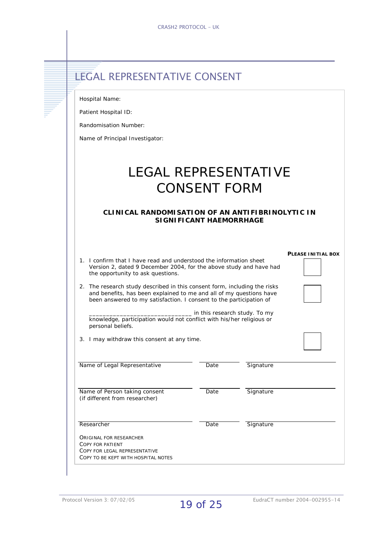|  | <b>ELEGAL REPRESENTATIVE CONSENT</b> |  |
|--|--------------------------------------|--|
|  |                                      |  |

Hospital Name: Patient Hospital ID: Randomisation Number: Name of Principal Investigator: LEGAL REPRESENTATIVE CONSENT FORM **CLINICAL RANDOMISATION OF AN ANTIFIBRINOLYTIC IN SIGNIFICANT HAEMORRHAGE PLEASE INITIAL BOX** 1. I confirm that I have read and understood the information sheet Version 2, dated 9 December 2004, for the above study and have had the opportunity to ask questions. 2. The research study described in this consent form, including the risks and benefits, has been explained to me and all of my questions have been answered to my satisfaction. I consent to the participation of \_\_\_\_\_\_\_\_\_\_\_\_\_\_\_\_\_\_\_\_\_\_\_\_\_\_\_\_\_\_ in this research study. To my knowledge, participation would not conflict with his/her religious or personal beliefs. 3. I may withdraw this consent at any time. Name of Legal Representative Date Date Signature Name of Person taking consent Date Date Signature (if different from researcher) Researcher **Date** Signature

ORIGINAL FOR RESEARCHER COPY FOR PATIENT

COPY FOR LEGAL REPRESENTATIVE COPY TO BE KEPT WITH HOSPITAL NOTES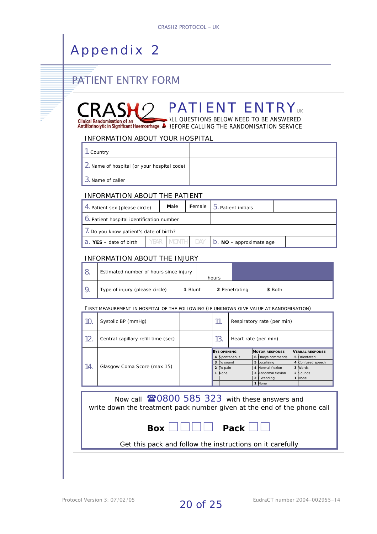# **PATIENT ENTRY FORM**

|     | 1. Country                                                                              |              |            |                                                                          |                                                                                                                              |                                                                                              |
|-----|-----------------------------------------------------------------------------------------|--------------|------------|--------------------------------------------------------------------------|------------------------------------------------------------------------------------------------------------------------------|----------------------------------------------------------------------------------------------|
|     | <b>2.</b> Name of hospital (or your hospital code)                                      |              |            |                                                                          |                                                                                                                              |                                                                                              |
|     | 3. Name of caller                                                                       |              |            |                                                                          |                                                                                                                              |                                                                                              |
|     | <b>INFORMATION ABOUT THE PATIENT</b>                                                    |              |            |                                                                          |                                                                                                                              |                                                                                              |
|     | 4. Patient sex (please circle)                                                          | Male         | Female     | 5. Patient initials                                                      |                                                                                                                              |                                                                                              |
|     | <b>6.</b> Patient hospital identification number                                        |              |            |                                                                          |                                                                                                                              |                                                                                              |
|     | 7. Do you know patient's date of birth?                                                 |              |            |                                                                          |                                                                                                                              |                                                                                              |
|     | <b>YEAR</b><br>$a.$ YES - date of birth                                                 | <b>MONT-</b> | <b>DAY</b> | $D. NO$ – approximate age                                                |                                                                                                                              |                                                                                              |
|     | <b>INFORMATION ABOUT THE INJURY</b>                                                     |              |            |                                                                          |                                                                                                                              |                                                                                              |
| 8.  | Estimated number of hours since injury                                                  |              |            | hours                                                                    |                                                                                                                              |                                                                                              |
| 9.  | Type of injury (please circle)                                                          |              | 1 Blunt    | 2 Penetrating                                                            | 3 Both                                                                                                                       |                                                                                              |
|     | FIRST MEASUREMENT IN HOSPITAL OF THE FOLLOWING (IF UNKNOWN GIVE VALUE AT RANDOMISATION) |              |            |                                                                          |                                                                                                                              |                                                                                              |
| 10. | Systolic BP (mmHg)                                                                      |              |            | 11.                                                                      | Respiratory rate (per min)                                                                                                   |                                                                                              |
| 12. | Central capillary refill time (sec)                                                     |              |            | 13.                                                                      | Heart rate (per min)                                                                                                         |                                                                                              |
| 14. | Glasgow Coma Score (max 15)                                                             |              |            | <b>EYE OPENING</b><br>4 Spontaneous<br>3 To sound<br>2 To pain<br>1 None | <b>MOTOR RESPONSE</b><br>6 Obeys commands<br>5 Localising<br>4 Normal flexion<br>3 Abnormal flexion<br>2 Extending<br>1 None | <b>VERBAL RESPONSE</b><br>5 Orientated<br>4 Confused speech<br>3 Words<br>2 Sounds<br>1 None |
|     | Now call <b>2000 585 323</b> with these answers and                                     |              |            |                                                                          |                                                                                                                              |                                                                                              |
|     | write down the treatment pack number given at the end of the phone call                 |              |            |                                                                          |                                                                                                                              |                                                                                              |
|     |                                                                                         |              |            |                                                                          |                                                                                                                              |                                                                                              |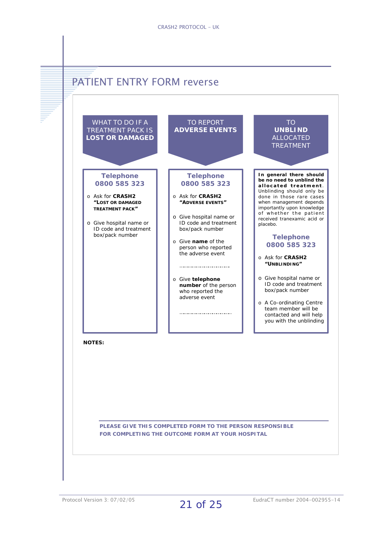

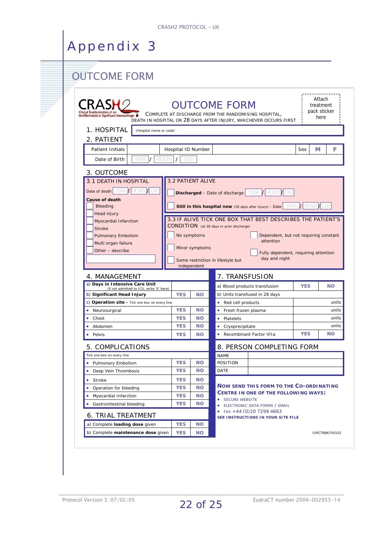# **OUTCOME FORM**

| Antifibrinolytic in Significant Haemorrhage                            |                          |                        | <b>OUTCOME FORM</b>                       | COMPLETE AT DISCHARGE FROM THE RANDOMISING HOSPITAL,                             |            | Attach<br>treatment<br>pack sticker<br>here                                  |
|------------------------------------------------------------------------|--------------------------|------------------------|-------------------------------------------|----------------------------------------------------------------------------------|------------|------------------------------------------------------------------------------|
|                                                                        |                          |                        |                                           | DEATH IN HOSPITAL OR 28 DAYS AFTER INJURY, WHICHEVER OCCURS FIRST                |            |                                                                              |
| 1. HOSPITAL<br>(Hospital name or code)                                 |                          |                        |                                           |                                                                                  |            |                                                                              |
| 2. PATIENT                                                             |                          |                        |                                           |                                                                                  |            |                                                                              |
| Patient Initials                                                       |                          | Hospital ID Number     |                                           |                                                                                  | Sex        | F<br>м                                                                       |
| <b>MONT</b><br>Date of Birth<br><b>YEAR</b>                            | DAY                      |                        |                                           |                                                                                  |            |                                                                              |
| 3. OUTCOME                                                             |                          |                        |                                           |                                                                                  |            |                                                                              |
| 3.1 DEATH IN HOSPITAL                                                  |                          | 3.2 PATIENT ALIVE      |                                           |                                                                                  |            |                                                                              |
| Date of death <b>YEAR</b> / MONTH<br>DAY                               |                          |                        |                                           | <b>Discharged</b> – Date of discharge   YEAR   WONTH   DAY                       |            |                                                                              |
| Cause of death                                                         |                          |                        |                                           |                                                                                  |            |                                                                              |
| Bleeding                                                               |                          |                        |                                           | <b>Still in this hospital now</b> (28 days after injury) - Date YEAR / MONTH DAY |            |                                                                              |
| Head injury                                                            |                          |                        |                                           |                                                                                  |            |                                                                              |
| Myocardial Infarction                                                  |                          |                        |                                           | 3.3 IF ALIVE TICK ONE BOX THAT BEST DESCRIBES THE PATIENT'S                      |            |                                                                              |
| <b>Stroke</b>                                                          |                          |                        | CONDITION (at 28 days or prior discharge) |                                                                                  |            |                                                                              |
| <b>Pulmonary Embolism</b>                                              |                          | No symptoms            |                                           | Dependent, but not requiring constant                                            |            |                                                                              |
| Multi organ failure                                                    |                          |                        |                                           | attention                                                                        |            |                                                                              |
| Other - describe                                                       |                          | Minor symptoms         |                                           | Fully dependent, requiring attention                                             |            |                                                                              |
|                                                                        |                          |                        | Some restriction in lifestyle but         | day and night                                                                    |            |                                                                              |
|                                                                        |                          |                        |                                           |                                                                                  |            |                                                                              |
|                                                                        |                          | independent            |                                           |                                                                                  |            |                                                                              |
| 4. MANAGEMENT                                                          |                          |                        | 7. TRANSFUSION                            |                                                                                  |            |                                                                              |
| a) Days in Intensive Care Unit                                         |                          |                        |                                           | a) Blood products transfusion                                                    | <b>YES</b> |                                                                              |
| (if not admitted to ICU, write '0' here)<br>b) Significant Head Injury | <b>YES</b>               | <b>NO</b>              |                                           | b) Units transfused in 28 days                                                   |            |                                                                              |
| c) Operation site - Tick one box on every line                         |                          |                        | • Red cell products                       |                                                                                  |            |                                                                              |
| Neurosurgical<br>۰                                                     | <b>YES</b>               | <b>NO</b>              | • Fresh frozen plasma                     |                                                                                  |            |                                                                              |
| Chest<br>۰                                                             | <b>YES</b>               | <b>NO</b>              | • Platelets                               |                                                                                  |            |                                                                              |
| Abdomen                                                                | <b>YES</b>               | <b>NO</b>              | • Cryoprecipitate                         |                                                                                  |            |                                                                              |
| Pelvis                                                                 | <b>YES</b>               | <b>NO</b>              | • Recombinant Factor VIIa                 |                                                                                  | <b>YES</b> |                                                                              |
| 5. COMPLICATIONS                                                       |                          |                        |                                           | 8. PERSON COMPLETING FORM                                                        |            |                                                                              |
| Tick one box on every line                                             |                          |                        | <b>NAME</b>                               |                                                                                  |            |                                                                              |
| • Pulmonary Embolism                                                   | <b>YES</b>               | <b>NO</b>              | <b>POSITION</b>                           |                                                                                  |            |                                                                              |
| Deep Vein Thrombosis                                                   | <b>YES</b>               | <b>NO</b>              | <b>DATE</b>                               |                                                                                  |            |                                                                              |
| • Stroke                                                               | <b>YES</b>               | <b>NO</b>              |                                           |                                                                                  |            |                                                                              |
| • Operation for bleeding                                               | <b>YES</b>               | <b>NO</b>              |                                           | <b>NOW SEND THIS FORM TO THE CO-ORDINATING</b>                                   |            |                                                                              |
| • Myocardial Infarction                                                | <b>YES</b>               | <b>NO</b>              |                                           | CENTRE IN ONE OF THE FOLLOWING WAYS:                                             |            |                                                                              |
|                                                                        | <b>YES</b>               | <b>NO</b>              | • SECURE WEBSITE                          |                                                                                  |            |                                                                              |
| Gastrointestinal bleeding                                              |                          |                        |                                           | <b>• ELECTRONIC DATA FORMS / EMAIL</b><br>• FAX +44 (0) 20 7299 4663             |            |                                                                              |
| <b>6. TRIAL TREATMENT</b>                                              |                          |                        |                                           | SEE INSTRUCTIONS IN YOUR SITE FILE                                               |            |                                                                              |
| a) Complete loading dose given<br>b) Complete maintenance dose given   | <b>YES</b><br><b>YES</b> | <b>NO</b><br><b>NO</b> |                                           |                                                                                  |            | <b>NO</b><br>units<br>units<br>units<br>units<br><b>NO</b><br>ISRCTN86750102 |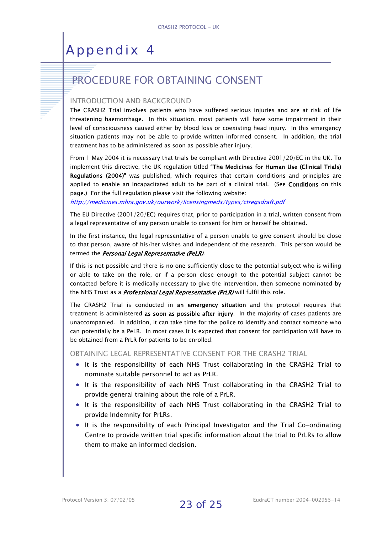# PROCEDURE FOR OBTAINING CONSENT

#### INTRODUCTION AND BACKGROUND

The CRASH2 Trial involves patients who have suffered serious injuries and are at risk of life threatening haemorrhage. In this situation, most patients will have some impairment in their level of consciousness caused either by blood loss or coexisting head injury. In this emergency situation patients may not be able to provide written informed consent. In addition, the trial treatment has to be administered as soon as possible after injury.

From 1 May 2004 it is necessary that trials be compliant with Directive 2001/20/EC in the UK. To implement this directive, the UK regulation titled "The Medicines for Human Use (Clinical Trials) Regulations (2004)" was published, which requires that certain conditions and principles are applied to enable an incapacitated adult to be part of a clinical trial. (See **Conditions** on this page.) For the full regulation please visit the following website:

http://medicines.mhra.gov.uk/ourwork/licensingmeds/types/ctregsdraft.pdf

The EU Directive (2001/20/EC) requires that, prior to participation in a trial, written consent from a legal representative of any person unable to consent for him or herself be obtained.

In the first instance, the legal representative of a person unable to give consent should be close to that person, aware of his/her wishes and independent of the research. This person would be termed the Personal Legal Representative (PeLR).

If this is not possible and there is no one sufficiently close to the potential subject who is willing or able to take on the role, or if a person close enough to the potential subject cannot be contacted before it is medically necessary to give the intervention, then someone nominated by the NHS Trust as a *Professional Legal Representative (PrLR)* will fulfil this role.

The CRASH2 Trial is conducted in an emergency situation and the protocol requires that treatment is administered as soon as possible after injury. In the majority of cases patients are unaccompanied. In addition, it can take time for the police to identify and contact someone who can potentially be a PeLR. In most cases it is expected that consent for participation will have to be obtained from a PrLR for patients to be enrolled.

OBTAINING LEGAL REPRESENTATIVE CONSENT FOR THE CRASH2 TRIAL

- It is the responsibility of each NHS Trust collaborating in the CRASH2 Trial to nominate suitable personnel to act as PrLR.
- It is the responsibility of each NHS Trust collaborating in the CRASH2 Trial to provide general training about the role of a PrLR.
- It is the responsibility of each NHS Trust collaborating in the CRASH2 Trial to provide Indemnity for PrLRs.
- It is the responsibility of each Principal Investigator and the Trial Co-ordinating Centre to provide written trial specific information about the trial to PrLRs to allow them to make an informed decision.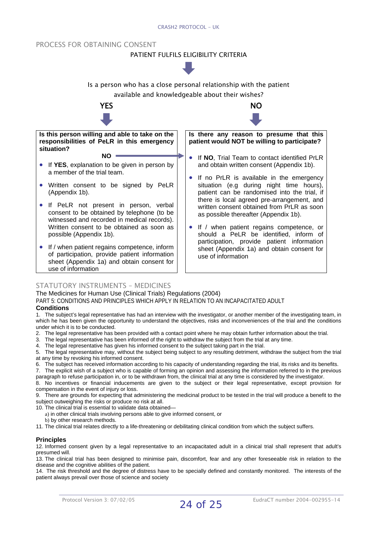#### PROCESS FOR OBTAINING CONSENT

#### PATIENT FULFILS ELIGIBILITY CRITERIA



#### STATUTORY INSTRUMENTS – MEDICINES

The Medicines for Human Use (Clinical Trials) Regulations (2004)

PART 5: CONDITIONS AND PRINCIPLES WHICH APPLY IN RELATION TO AN INCAPACITATED ADULT

#### **Conditions**

use of information

1. The subject's legal representative has had an interview with the investigator, or another member of the investigating team, in which he has been given the opportunity to understand the objectives, risks and inconveniences of the trial and the conditions under which it is to be conducted.

- 2. The legal representative has been provided with a contact point where he may obtain further information about the trial.
- 3. The legal representative has been informed of the right to withdraw the subject from the trial at any time.
- 4. The legal representative has given his informed consent to the subject taking part in the trial.

5. The legal representative may, without the subject being subject to any resulting detriment, withdraw the subject from the trial at any time by revoking his informed consent.

6. The subject has received information according to his capacity of understanding regarding the trial, its risks and its benefits.

7. The explicit wish of a subject who is capable of forming an opinion and assessing the information referred to in the previous paragraph to refuse participation in, or to be withdrawn from, the clinical trial at any time is considered by the investigator.

8. No incentives or financial inducements are given to the subject or their legal representative, except provision for compensation in the event of injury or loss.

9. There are grounds for expecting that administering the medicinal product to be tested in the trial will produce a benefit to the subject outweighing the risks or produce no risk at all.

10. The clinical trial is essential to validate data obtained—

a) in other clinical trials involving persons able to give informed consent, or

b) by other research methods.

11. The clinical trial relates directly to a life-threatening or debilitating clinical condition from which the subject suffers.

#### **Principles**

12. Informed consent given by a legal representative to an incapacitated adult in a clinical trial shall represent that adult's presumed will.

13. The clinical trial has been designed to minimise pain, discomfort, fear and any other foreseeable risk in relation to the disease and the cognitive abilities of the patient.

14. The risk threshold and the degree of distress have to be specially defined and constantly monitored. The interests of the patient always prevail over those of science and society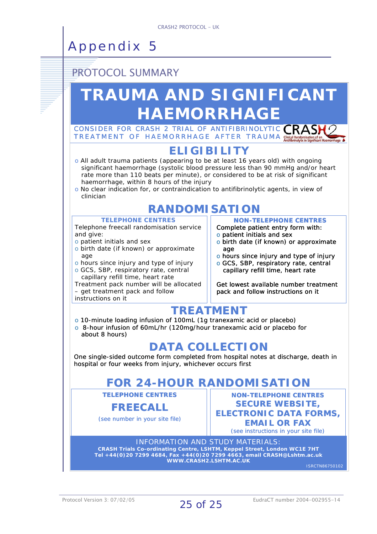### PROTOCOL SUMMARY

# **TRAUMA AND SIGNIFICANT HAEMORRHAGE**

CONSIDER FOR CRASH 2 TRIAL OF ANTIFIBRINOLYTIC CRAS TREATMENT OF HAEMORRHAGE AFTER TRAUMA

#### **ELIGIBILITY**

- o All adult trauma patients (appearing to be at least 16 years old) with ongoing significant haemorrhage (systolic blood pressure less than 90 mmHg and/or heart rate more than 110 beats per minute), or considered to be at risk of significant haemorrhage, within 8 hours of the injury
- o No clear indication for, or contraindication to antifibrinolytic agents, in view of clinician

# **RANDOMISATION**

#### **TELEPHONE CENTRES**

Telephone freecall randomisation service and give:

- o patient initials and sex
- o birth date (if known) or approximate age
- o hours since injury and type of injury
- o GCS, SBP, respiratory rate, central capillary refill time, heart rate

Treatment pack number will be allocated – get treatment pack and follow

instructions on it

**NON-TELEPHONE CENTRES** Complete patient entry form with:

- o patient initials and sex
- o birth date (if known) or approximate age
- o hours since injury and type of injury
- o GCS, SBP, respiratory rate, central capillary refill time, heart rate

Get lowest available number treatment pack and follow instructions on it

### **TREATMENT**

- o 10-minute loading infusion of 100mL (1g tranexamic acid or placebo)
- o 8-hour infusion of 60mL/hr (120mg/hour tranexamic acid or placebo for about 8 hours)

### **DATA COLLECTION**

One single-sided outcome form completed from hospital notes at discharge, death in hospital or four weeks from injury, whichever occurs first

# **FOR 24-HOUR RANDOMISATION**

**TELEPHONE CENTRES**

#### **FREECALL**

(see number in your site file)

**NON-TELEPHONE CENTRES SECURE WEBSITE, ELECTRONIC DATA FORMS, EMAIL OR FAX** (see instructions in your site file)

INFORMATION AND STUDY MATERIALS: **CRASH Trials Co-ordinating Centre, LSHTM, Keppel Street, London WC1E 7HT Tel +44(0)20 7299 4684, Fax +44(0)20 7299 4663, email CRASH@Lshtm.ac.uk WWW.CRASH2.LSHTM.AC.UK**

ISRCTN86750102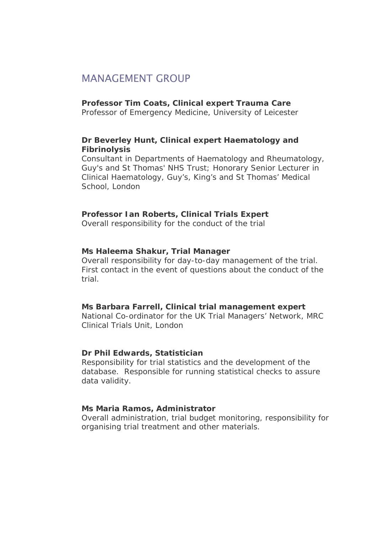#### MANAGEMENT GROUP

#### **Professor Tim Coats, Clinical expert Trauma Care**

Professor of Emergency Medicine, University of Leicester

#### **Dr Beverley Hunt, Clinical expert Haematology and Fibrinolysis**

Consultant in Departments of Haematology and Rheumatology, Guy's and St Thomas' NHS Trust; Honorary Senior Lecturer in Clinical Haematology, Guy's, King's and St Thomas' Medical School, London

#### **Professor Ian Roberts, Clinical Trials Expert**

Overall responsibility for the conduct of the trial

#### **Ms Haleema Shakur, Trial Manager**

Overall responsibility for day-to-day management of the trial. First contact in the event of questions about the conduct of the trial.

#### **Ms Barbara Farrell, Clinical trial management expert**

National Co-ordinator for the UK Trial Managers' Network, MRC Clinical Trials Unit, London

#### **Dr Phil Edwards, Statistician**

Responsibility for trial statistics and the development of the database. Responsible for running statistical checks to assure data validity.

#### **Ms Maria Ramos, Administrator**

Overall administration, trial budget monitoring, responsibility for organising trial treatment and other materials.